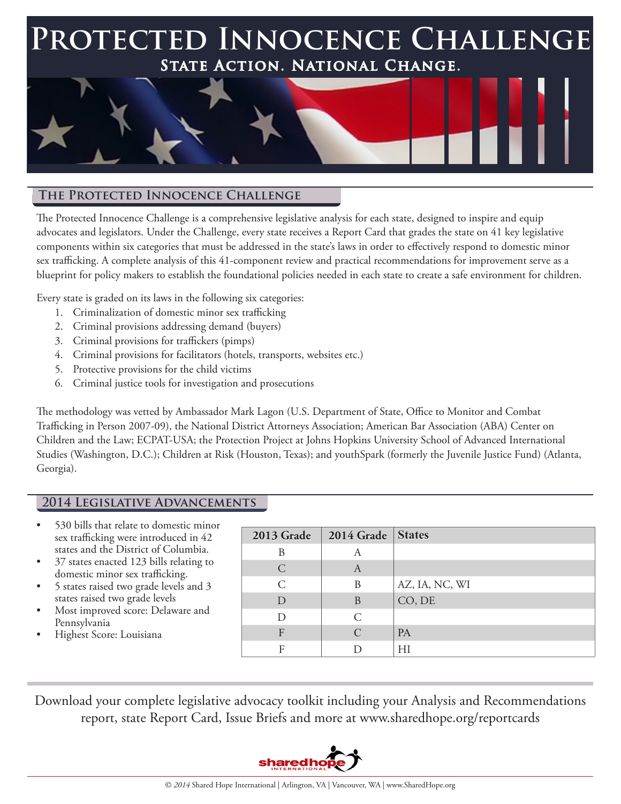## **Protected Innocence Challenge State Action. National Change.**



#### **The Protected Innocence Challenge**

The Protected Innocence Challenge is a comprehensive legislative analysis for each state, designed to inspire and equip advocates and legislators. Under the Challenge, every state receives a Report Card that grades the state on 41 key legislative components within six categories that must be addressed in the state's laws in order to effectively respond to domestic minor sex trafficking. A complete analysis of this 41-component review and practical recommendations for improvement serve as a blueprint for policy makers to establish the foundational policies needed in each state to create a safe environment for children.

Every state is graded on its laws in the following six categories:

- 1. Criminalization of domestic minor sex trafficking
- 2. Criminal provisions addressing demand (buyers)
- 3. Criminal provisions for traffickers (pimps)
- 4. Criminal provisions for facilitators (hotels, transports, websites etc.)
- 5. Protective provisions for the child victims
- 6. Criminal justice tools for investigation and prosecutions

The methodology was vetted by Ambassador Mark Lagon (U.S. Department of State, Office to Monitor and Combat Trafficking in Person 2007-09), the National District Attorneys Association; American Bar Association (ABA) Center on Children and the Law; ECPAT-USA; the Protection Project at Johns Hopkins University School of Advanced International Studies (Washington, D.C.); Children at Risk (Houston, Texas); and youthSpark (formerly the Juvenile Justice Fund) (Atlanta, Georgia).

#### **2014 Legislative Advancements**

- 530 bills that relate to domestic minor sex trafficking were introduced in 42 states and the District of Columbia.
- 37 states enacted 123 bills relating to domestic minor sex trafficking.
- 5 states raised two grade levels and 3 states raised two grade levels
- Most improved score: Delaware and Pennsylvania
- Highest Score: Louisiana

| 2013 Grade    | 2014 Grade States           |                |
|---------------|-----------------------------|----------------|
| B             | A                           |                |
| $\subset$     | A                           |                |
| $\mathcal{C}$ | B                           | AZ, IA, NC, WI |
| D             | B                           | CO, DE         |
| D             | $\mathcal{C}$               |                |
| $\mathbf{F}$  | $\mathcal{C}_{\mathcal{C}}$ | <b>PA</b>      |
| F             |                             | HI             |

Download your complete legislative advocacy toolkit including your Analysis and Recommendations report, state Report Card, Issue Briefs and more at www.sharedhope.org/reportcards